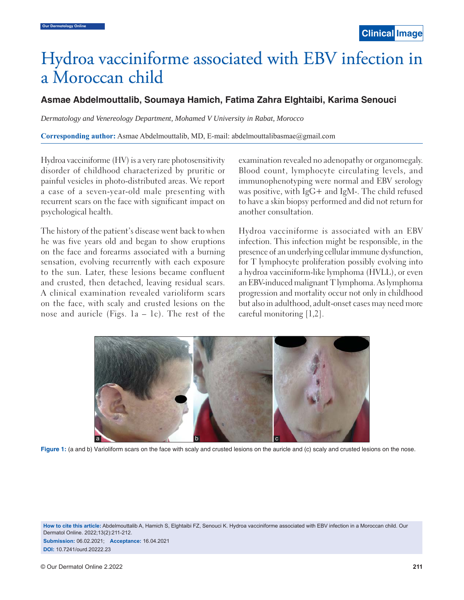## Hydroa vacciniforme associated with EBV infection in a Moroccan child

## **Asmae Abdelmouttalib, Soumaya Hamich, Fatima Zahra Elghtaibi, Karima Senouci**

*Dermatology and Venereology Department, Mohamed V University in Rabat, Morocco*

**Corresponding author:** Asmae Abdelmouttalib, MD, E-mail: abdelmouttalibasmae@gmail.com

Hydroa vacciniforme (HV) is a very rare photosensitivity disorder of childhood characterized by pruritic or painful vesicles in photo-distributed areas. We report a case of a seven-year-old male presenting with recurrent scars on the face with significant impact on psychological health.

The history of the patient's disease went back to when he was five years old and began to show eruptions on the face and forearms associated with a burning sensation, evolving recurrently with each exposure to the sun. Later, these lesions became confluent and crusted, then detached, leaving residual scars. A clinical examination revealed varioliform scars on the face, with scaly and crusted lesions on the nose and auricle (Figs.  $1a - 1c$ ). The rest of the examination revealed no adenopathy or organomegaly. Blood count, lymphocyte circulating levels, and immunophenotyping were normal and EBV serology was positive, with IgG+ and IgM-. The child refused to have a skin biopsy performed and did not return for another consultation.

 Hydroa vacciniforme is associated with an EBV infection. This infection might be responsible, in the presence of an underlying cellular immune dysfunction, for T lymphocyte proliferation possibly evolving into a hydroa vacciniform-like lymphoma (HVLL), or even an EBV-induced malignant T lymphoma. As lymphoma progression and mortality occur not only in childhood but also in adulthood, adult-onset cases may need more careful monitoring [1,2].



Figure 1: (a and b) Varioliform scars on the face with scaly and crusted lesions on the auricle and (c) scaly and crusted lesions on the nose.

**How to cite this article:** Abdelmouttalib A, Hamich S, Elghtaibi FZ, Senouci K. Hydroa vacciniforme associated with EBV infection in a Moroccan child. Our Dermatol Online. 2022;13(2):211-212.

**Submission:** 06.02.2021; **Acceptance:** 16.04.2021 **DOI:** 10.7241/ourd.20222.23